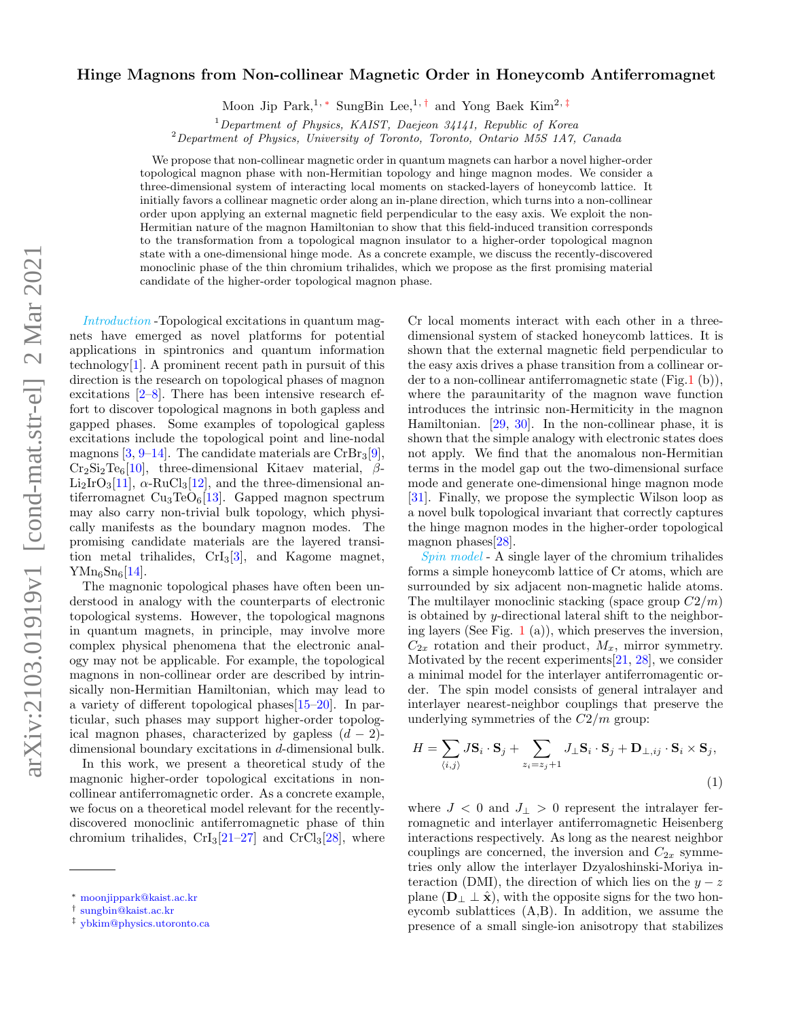# Hinge Magnons from Non-collinear Magnetic Order in Honeycomb Antiferromagnet

Moon Jip Park,<sup>1, \*</sup> SungBin Lee,<sup>1,[†](#page-0-1)</sup> and Yong Baek Kim<sup>2,[‡](#page-0-2)</sup>

 $1$ Department of Physics, KAIST, Daejeon 34141, Republic of Korea

<sup>2</sup>Department of Physics, University of Toronto, Toronto, Ontario M5S 1A7, Canada

We propose that non-collinear magnetic order in quantum magnets can harbor a novel higher-order topological magnon phase with non-Hermitian topology and hinge magnon modes. We consider a three-dimensional system of interacting local moments on stacked-layers of honeycomb lattice. It initially favors a collinear magnetic order along an in-plane direction, which turns into a non-collinear order upon applying an external magnetic field perpendicular to the easy axis. We exploit the non-Hermitian nature of the magnon Hamiltonian to show that this field-induced transition corresponds to the transformation from a topological magnon insulator to a higher-order topological magnon state with a one-dimensional hinge mode. As a concrete example, we discuss the recently-discovered monoclinic phase of the thin chromium trihalides, which we propose as the first promising material candidate of the higher-order topological magnon phase.

Introduction -Topological excitations in quantum magnets have emerged as novel platforms for potential applications in spintronics and quantum information technology<sup>[\[1\]](#page-4-0)</sup>. A prominent recent path in pursuit of this direction is the research on topological phases of magnon excitations [\[2–](#page-4-1)[8\]](#page-4-2). There has been intensive research effort to discover topological magnons in both gapless and gapped phases. Some examples of topological gapless excitations include the topological point and line-nodal magnons  $[3, 9-14]$  $[3, 9-14]$  $[3, 9-14]$ . The candidate materials are CrBr<sub>3</sub>[\[9\]](#page-4-4),  $Cr_2Si_2Te_6[10]$  $Cr_2Si_2Te_6[10]$ , three-dimensional Kitaev material,  $\beta$ - $Li_2IrO_3[11], \alpha-RuCl_3[12],$  $Li_2IrO_3[11], \alpha-RuCl_3[12],$  $Li_2IrO_3[11], \alpha-RuCl_3[12],$  $Li_2IrO_3[11], \alpha-RuCl_3[12],$  $Li_2IrO_3[11], \alpha-RuCl_3[12],$  and the three-dimensional antiferromagnet  $Cu<sub>3</sub>TeO<sub>6</sub>[13]$  $Cu<sub>3</sub>TeO<sub>6</sub>[13]$ . Gapped magnon spectrum may also carry non-trivial bulk topology, which physically manifests as the boundary magnon modes. The promising candidate materials are the layered transition metal trihalides,  $CrI_3[3]$  $CrI_3[3]$ , and Kagome magnet,  $YMn_6Sn_6[14]$  $YMn_6Sn_6[14]$ .

The magnonic topological phases have often been understood in analogy with the counterparts of electronic topological systems. However, the topological magnons in quantum magnets, in principle, may involve more complex physical phenomena that the electronic analogy may not be applicable. For example, the topological magnons in non-collinear order are described by intrinsically non-Hermitian Hamiltonian, which may lead to a variety of different topological phases[\[15–](#page-4-10)[20\]](#page-4-11). In particular, such phases may support higher-order topological magnon phases, characterized by gapless  $(d - 2)$ dimensional boundary excitations in d-dimensional bulk.

In this work, we present a theoretical study of the magnonic higher-order topological excitations in noncollinear antiferromagnetic order. As a concrete example, we focus on a theoretical model relevant for the recentlydiscovered monoclinic antiferromagnetic phase of thin chromium trihalides,  $\text{CrI}_3[21-27]$  $\text{CrI}_3[21-27]$  $\text{CrI}_3[21-27]$  and  $\text{CrCl}_3[28]$  $\text{CrCl}_3[28]$ , where Cr local moments interact with each other in a threedimensional system of stacked honeycomb lattices. It is shown that the external magnetic field perpendicular to the easy axis drives a phase transition from a collinear order to a non-collinear antiferromagnetic state (Fig[.1](#page-1-0) (b)), where the paraunitarity of the magnon wave function introduces the intrinsic non-Hermiticity in the magnon Hamiltonian. [\[29,](#page-5-2) [30\]](#page-5-3). In the non-collinear phase, it is shown that the simple analogy with electronic states does not apply. We find that the anomalous non-Hermitian terms in the model gap out the two-dimensional surface mode and generate one-dimensional hinge magnon mode [\[31\]](#page-5-4). Finally, we propose the symplectic Wilson loop as a novel bulk topological invariant that correctly captures the hinge magnon modes in the higher-order topological magnon phases[\[28\]](#page-5-1).

Spin model - A single layer of the chromium trihalides forms a simple honeycomb lattice of Cr atoms, which are surrounded by six adjacent non-magnetic halide atoms. The multilayer monoclinic stacking (space group  $C2/m$ ) is obtained by y-directional lateral shift to the neighboring layers (See Fig. [1](#page-1-0) (a)), which preserves the inversion,  $C_{2x}$  rotation and their product,  $M_x$ , mirror symmetry. Motivated by the recent experiments[\[21,](#page-4-12) [28\]](#page-5-1), we consider a minimal model for the interlayer antiferromagentic order. The spin model consists of general intralayer and interlayer nearest-neighbor couplings that preserve the underlying symmetries of the  $C2/m$  group:

$$
H = \sum_{\langle i,j \rangle} J\mathbf{S}_i \cdot \mathbf{S}_j + \sum_{z_i = z_j + 1} J_{\perp} \mathbf{S}_i \cdot \mathbf{S}_j + \mathbf{D}_{\perp, ij} \cdot \mathbf{S}_i \times \mathbf{S}_j,
$$
\n(1)

where  $J < 0$  and  $J_{\perp} > 0$  represent the intralayer ferromagnetic and interlayer antiferromagnetic Heisenberg interactions respectively. As long as the nearest neighbor couplings are concerned, the inversion and  $C_{2x}$  symmetries only allow the interlayer Dzyaloshinski-Moriya interaction (DMI), the direction of which lies on the  $y - z$ plane  $(D_+ \perp \hat{x})$ , with the opposite signs for the two honeycomb sublattices (A,B). In addition, we assume the presence of a small single-ion anisotropy that stabilizes

<span id="page-0-0"></span><sup>∗</sup> [moonjippark@kaist.ac.kr](mailto:moonjippark@kaist.ac.kr)

<span id="page-0-1"></span><sup>†</sup> [sungbin@kaist.ac.kr](mailto:sungbin@kaist.ac.kr)

<span id="page-0-2"></span><sup>‡</sup> [ybkim@physics.utoronto.ca](mailto:ybkim@physics.utoronto.ca)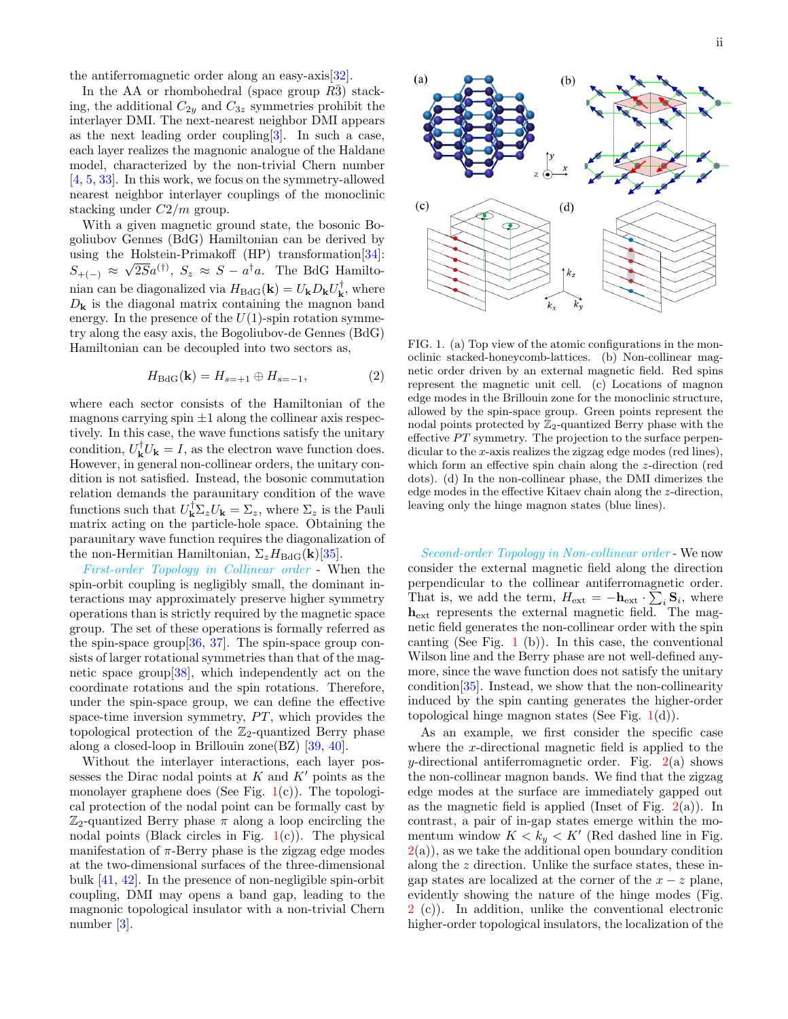the antiferromagnetic order along an easy-axis[\[32\]](#page-5-5).

In the AA or rhombohedral (space group  $R\bar{3}$ ) stacking, the additional  $C_{2y}$  and  $C_{3z}$  symmetries prohibit the interlayer DMI. The next-nearest neighbor DMI appears as the next leading order coupling[\[3\]](#page-4-3). In such a case, each layer realizes the magnonic analogue of the Haldane model, characterized by the non-trivial Chern number [\[4,](#page-4-13) [5,](#page-4-14) [33\]](#page-5-6). In this work, we focus on the symmetry-allowed nearest neighbor interlayer couplings of the monoclinic stacking under  $C2/m$  group.

With a given magnetic ground state, the bosonic Bogoliubov Gennes (BdG) Hamiltonian can be derived by using the Holstein-Primakoff (HP) transformation[\[34\]](#page-5-7):  $S_{+(-)} \approx \sqrt{2S}a^{(\dagger)}, S_z \approx S - a^{\dagger}a$ . The BdG Hamiltonian can be diagonalized via  $H_{\text{BdG}}(\mathbf{k}) = U_{\mathbf{k}} D_{\mathbf{k}} U_{\mathbf{k}}^{\dagger}$ , where  $D_{\mathbf{k}}$  is the diagonal matrix containing the magnon band energy. In the presence of the  $U(1)$ -spin rotation symmetry along the easy axis, the Bogoliubov-de Gennes (BdG) Hamiltonian can be decoupled into two sectors as,

$$
H_{\text{BdG}}(\mathbf{k}) = H_{s=+1} \oplus H_{s=-1},\tag{2}
$$

where each sector consists of the Hamiltonian of the magnons carrying spin  $\pm 1$  along the collinear axis respectively. In this case, the wave functions satisfy the unitary condition,  $U_{\mathbf{k}}^{\dagger}U_{\mathbf{k}}=I$ , as the electron wave function does. However, in general non-collinear orders, the unitary condition is not satisfied. Instead, the bosonic commutation relation demands the paraunitary condition of the wave functions such that  $U_{\mathbf{k}}^{\dagger} \Sigma_z U_{\mathbf{k}} = \Sigma_z$ , where  $\Sigma_z$  is the Pauli matrix acting on the particle-hole space. Obtaining the paraunitary wave function requires the diagonalization of the non-Hermitian Hamiltonian,  $\Sigma_z H_{\text{BdG}}(\mathbf{k})$ [\[35\]](#page-5-8).

First-order Topology in Collinear order - When the spin-orbit coupling is negligibly small, the dominant interactions may approximately preserve higher symmetry operations than is strictly required by the magnetic space group. The set of these operations is formally referred as the spin-space group $[36, 37]$  $[36, 37]$  $[36, 37]$ . The spin-space group consists of larger rotational symmetries than that of the magnetic space group[\[38\]](#page-5-11), which independently act on the coordinate rotations and the spin rotations. Therefore, under the spin-space group, we can define the effective space-time inversion symmetry,  $PT$ , which provides the topological protection of the  $\mathbb{Z}_2$ -quantized Berry phase along a closed-loop in Brillouin zone(BZ) [\[39,](#page-5-12) [40\]](#page-5-13).

Without the interlayer interactions, each layer possesses the Dirac nodal points at  $K$  and  $K'$  points as the monolayer graphene does (See Fig.  $1(c)$  $1(c)$ ). The topological protection of the nodal point can be formally cast by  $\mathbb{Z}_2$ -quantized Berry phase  $\pi$  along a loop encircling the nodal points (Black circles in Fig.  $1(c)$  $1(c)$ ). The physical manifestation of  $\pi$ -Berry phase is the zigzag edge modes at the two-dimensional surfaces of the three-dimensional bulk [\[41,](#page-5-14) [42\]](#page-5-15). In the presence of non-negligible spin-orbit coupling, DMI may opens a band gap, leading to the magnonic topological insulator with a non-trivial Chern number [\[3\]](#page-4-3).



<span id="page-1-0"></span>FIG. 1. (a) Top view of the atomic configurations in the monoclinic stacked-honeycomb-lattices. (b) Non-collinear magnetic order driven by an external magnetic field. Red spins represent the magnetic unit cell. (c) Locations of magnon edge modes in the Brillouin zone for the monoclinic structure, allowed by the spin-space group. Green points represent the nodal points protected by  $\mathbb{Z}_2$ -quantized Berry phase with the effective  $PT$  symmetry. The projection to the surface perpendicular to the x-axis realizes the zigzag edge modes (red lines), which form an effective spin chain along the z-direction (red dots). (d) In the non-collinear phase, the DMI dimerizes the edge modes in the effective Kitaev chain along the z-direction, leaving only the hinge magnon states (blue lines).

Second-order Topology in Non-collinear order - We now consider the external magnetic field along the direction perpendicular to the collinear antiferromagnetic order. That is, we add the term,  $H_{ext} = -\mathbf{h}_{ext} \cdot \sum_i \mathbf{S}_i$ , where hext represents the external magnetic field. The magnetic field generates the non-collinear order with the spin canting (See Fig.  $1$  (b)). In this case, the conventional Wilson line and the Berry phase are not well-defined anymore, since the wave function does not satisfy the unitary condition[\[35\]](#page-5-8). Instead, we show that the non-collinearity induced by the spin canting generates the higher-order topological hinge magnon states (See Fig.  $1(d)$  $1(d)$ ).

As an example, we first consider the specific case where the x-directional magnetic field is applied to the y-directional antiferromagnetic order. Fig.  $2(a)$  $2(a)$  shows the non-collinear magnon bands. We find that the zigzag edge modes at the surface are immediately gapped out as the magnetic field is applied (Inset of Fig.  $2(a)$  $2(a)$ ). In contrast, a pair of in-gap states emerge within the momentum window  $K < k_y < K'$  (Red dashed line in Fig.  $2(a)$  $2(a)$ , as we take the additional open boundary condition along the z direction. Unlike the surface states, these ingap states are localized at the corner of the  $x - z$  plane, evidently showing the nature of the hinge modes (Fig. [2](#page-2-0) (c)). In addition, unlike the conventional electronic higher-order topological insulators, the localization of the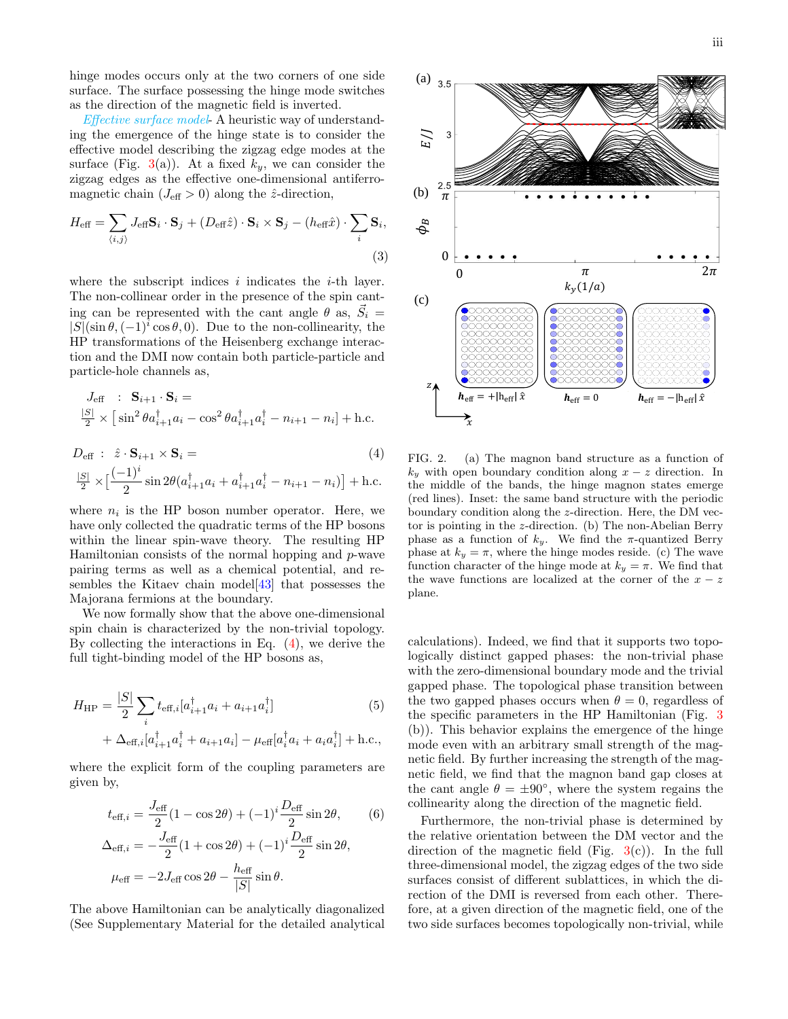hinge modes occurs only at the two corners of one side surface. The surface possessing the hinge mode switches as the direction of the magnetic field is inverted.

Effective surface model- A heuristic way of understanding the emergence of the hinge state is to consider the effective model describing the zigzag edge modes at the surface (Fig. [3\(](#page-3-0)a)). At a fixed  $k_y$ , we can consider the zigzag edges as the effective one-dimensional antiferromagnetic chain ( $J_{\text{eff}} > 0$ ) along the  $\hat{z}$ -direction,

<span id="page-2-2"></span>
$$
H_{\text{eff}} = \sum_{\langle i,j \rangle} J_{\text{eff}} \mathbf{S}_i \cdot \mathbf{S}_j + (D_{\text{eff}} \hat{z}) \cdot \mathbf{S}_i \times \mathbf{S}_j - (h_{\text{eff}} \hat{x}) \cdot \sum_i \mathbf{S}_i,
$$
\n(3)

where the subscript indices  $i$  indicates the  $i$ -th layer. The non-collinear order in the presence of the spin canting can be represented with the cant angle  $\theta$  as,  $\vec{S}_i$  =  $|S|(\sin \theta, (-1)^i \cos \theta, 0)$ . Due to the non-collinearity, the HP transformations of the Heisenberg exchange interaction and the DMI now contain both particle-particle and particle-hole channels as,

<span id="page-2-1"></span>
$$
J_{\text{eff}} : \mathbf{S}_{i+1} \cdot \mathbf{S}_{i} =
$$
  

$$
\frac{|S|}{2} \times [\sin^{2} \theta a_{i+1}^{\dagger} a_{i} - \cos^{2} \theta a_{i+1}^{\dagger} a_{i}^{\dagger} - n_{i+1} - n_{i}] + \text{h.c.}
$$

$$
D_{\text{eff}} : \hat{z} \cdot \mathbf{S}_{i+1} \times \mathbf{S}_{i} =
$$
\n
$$
\frac{|S|}{2} \times \left[ \frac{(-1)^{i}}{2} \sin 2\theta (a_{i+1}^{\dagger} a_{i} + a_{i+1}^{\dagger} a_{i}^{\dagger} - n_{i+1} - n_{i}) \right] + \text{h.c.}
$$
\n(4)

where  $n_i$  is the HP boson number operator. Here, we have only collected the quadratic terms of the HP bosons within the linear spin-wave theory. The resulting HP Hamiltonian consists of the normal hopping and  $p$ -wave pairing terms as well as a chemical potential, and resembles the Kitaev chain model  $\left[43\right]$  that possesses the Majorana fermions at the boundary.

We now formally show that the above one-dimensional spin chain is characterized by the non-trivial topology. By collecting the interactions in Eq. [\(4\)](#page-2-1), we derive the full tight-binding model of the HP bosons as,

$$
H_{\rm HP} = \frac{|S|}{2} \sum_{i} t_{\text{eff},i} [a_{i+1}^{\dagger} a_i + a_{i+1} a_i^{\dagger}]
$$
(5)  
+  $\Delta_{\text{eff},i} [a_{i+1}^{\dagger} a_i^{\dagger} + a_{i+1} a_i] - \mu_{\text{eff}} [a_i^{\dagger} a_i + a_i a_i^{\dagger}] + \text{h.c.},$ 

where the explicit form of the coupling parameters are given by,

$$
t_{\text{eff},i} = \frac{J_{\text{eff}}}{2}(1 - \cos 2\theta) + (-1)^i \frac{D_{\text{eff}}}{2}\sin 2\theta,
$$
 (6)  

$$
\Delta_{\text{eff},i} = -\frac{J_{\text{eff}}}{2}(1 + \cos 2\theta) + (-1)^i \frac{D_{\text{eff}}}{2}\sin 2\theta,
$$
  

$$
\mu_{\text{eff}} = -2J_{\text{eff}}\cos 2\theta - \frac{h_{\text{eff}}}{|S|}\sin \theta.
$$

The above Hamiltonian can be analytically diagonalized (See Supplementary Material for the detailed analytical



<span id="page-2-0"></span>FIG. 2. (a) The magnon band structure as a function of  $k_y$  with open boundary condition along  $x - z$  direction. In the middle of the bands, the hinge magnon states emerge (red lines). Inset: the same band structure with the periodic boundary condition along the z-direction. Here, the DM vector is pointing in the z-direction. (b) The non-Abelian Berry phase as a function of  $k_y$ . We find the  $\pi$ -quantized Berry phase at  $k_y = \pi$ , where the hinge modes reside. (c) The wave function character of the hinge mode at  $k_y = \pi$ . We find that the wave functions are localized at the corner of the  $x - z$ plane.

calculations). Indeed, we find that it supports two topologically distinct gapped phases: the non-trivial phase with the zero-dimensional boundary mode and the trivial gapped phase. The topological phase transition between the two gapped phases occurs when  $\theta = 0$ , regardless of the specific parameters in the HP Hamiltonian (Fig. [3](#page-3-0) (b)). This behavior explains the emergence of the hinge mode even with an arbitrary small strength of the magnetic field. By further increasing the strength of the magnetic field, we find that the magnon band gap closes at the cant angle  $\theta = \pm 90^{\circ}$ , where the system regains the collinearity along the direction of the magnetic field.

Furthermore, the non-trivial phase is determined by the relative orientation between the DM vector and the direction of the magnetic field (Fig.  $3(c)$  $3(c)$ ). In the full three-dimensional model, the zigzag edges of the two side surfaces consist of different sublattices, in which the direction of the DMI is reversed from each other. Therefore, at a given direction of the magnetic field, one of the two side surfaces becomes topologically non-trivial, while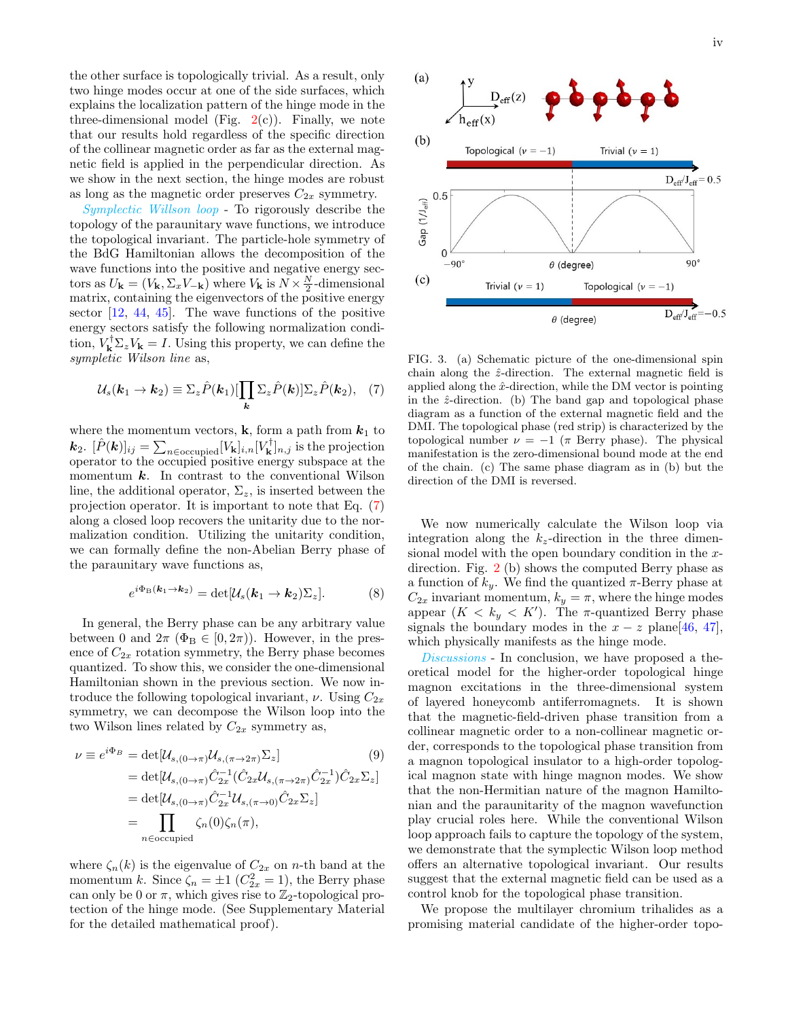the other surface is topologically trivial. As a result, only two hinge modes occur at one of the side surfaces, which explains the localization pattern of the hinge mode in the three-dimensional model (Fig.  $2(c)$  $2(c)$ ). Finally, we note that our results hold regardless of the specific direction of the collinear magnetic order as far as the external magnetic field is applied in the perpendicular direction. As we show in the next section, the hinge modes are robust as long as the magnetic order preserves  $C_{2x}$  symmetry.

Symplectic Willson loop - To rigorously describe the topology of the paraunitary wave functions, we introduce the topological invariant. The particle-hole symmetry of the BdG Hamiltonian allows the decomposition of the wave functions into the positive and negative energy sectors as  $U_{\mathbf{k}} = (V_{\mathbf{k}}, \Sigma_x V_{-\mathbf{k}})$  where  $V_{\mathbf{k}}$  is  $N \times \frac{N}{2}$ -dimensional matrix, containing the eigenvectors of the positive energy sector  $[12, 44, 45]$  $[12, 44, 45]$  $[12, 44, 45]$  $[12, 44, 45]$  $[12, 44, 45]$ . The wave functions of the positive energy sectors satisfy the following normalization condition,  $V_{\mathbf{k}}^{\dagger} \Sigma_z V_{\mathbf{k}} = I$ . Using this property, we can define the sympletic Wilson line as,

<span id="page-3-1"></span>
$$
\mathcal{U}_{s}(\mathbf{k}_{1} \to \mathbf{k}_{2}) \equiv \Sigma_{z} \hat{P}(\mathbf{k}_{1}) [\prod_{\mathbf{k}} \Sigma_{z} \hat{P}(\mathbf{k})] \Sigma_{z} \hat{P}(\mathbf{k}_{2}), \quad (7)
$$

where the momentum vectors, **k**, form a path from  $k_1$  to  $\bm{k}_2$ .  $[\hat{P}(\bm{k})]_{ij} = \sum_{n \in \text{occupied}} [V_{\mathbf{k}}]_{i,n} [V_{\mathbf{k}}^{\dagger}]_{n,j}$  is the projection operator to the occupied positive energy subspace at the momentum  $k$ . In contrast to the conventional Wilson line, the additional operator,  $\Sigma_z$ , is inserted between the projection operator. It is important to note that Eq. [\(7\)](#page-3-1) along a closed loop recovers the unitarity due to the normalization condition. Utilizing the unitarity condition, we can formally define the non-Abelian Berry phase of the paraunitary wave functions as,

$$
e^{i\Phi_{\mathcal{B}}(\boldsymbol{k}_1 \to \boldsymbol{k}_2)} = \det[\mathcal{U}_s(\boldsymbol{k}_1 \to \boldsymbol{k}_2) \Sigma_z]. \tag{8}
$$

In general, the Berry phase can be any arbitrary value between 0 and  $2\pi$  ( $\Phi_B \in [0, 2\pi)$ ). However, in the presence of  $C_{2x}$  rotation symmetry, the Berry phase becomes quantized. To show this, we consider the one-dimensional Hamiltonian shown in the previous section. We now introduce the following topological invariant,  $\nu$ . Using  $C_{2x}$ symmetry, we can decompose the Wilson loop into the two Wilson lines related by  $C_{2x}$  symmetry as,

$$
\nu \equiv e^{i\Phi_B} = \det[\mathcal{U}_{s,(0 \to \pi)} \mathcal{U}_{s,(\pi \to 2\pi)} \Sigma_z]
$$
(9)  
\n
$$
= \det[\mathcal{U}_{s,(0 \to \pi)} \hat{C}_{2x}^{-1} (\hat{C}_{2x} \mathcal{U}_{s,(\pi \to 2\pi)} \hat{C}_{2x}^{-1}) \hat{C}_{2x} \Sigma_z]
$$
  
\n
$$
= \det[\mathcal{U}_{s,(0 \to \pi)} \hat{C}_{2x}^{-1} \mathcal{U}_{s,(\pi \to 0)} \hat{C}_{2x} \Sigma_z]
$$
  
\n
$$
= \prod_{n \in \text{occupied}} \zeta_n(0) \zeta_n(\pi),
$$

where  $\zeta_n(k)$  is the eigenvalue of  $C_{2x}$  on n-th band at the momentum k. Since  $\zeta_n = \pm 1$  ( $C_{2x}^2 = 1$ ), the Berry phase can only be 0 or  $\pi$ , which gives rise to  $\mathbb{Z}_2$ -topological protection of the hinge mode. (See Supplementary Material for the detailed mathematical proof).



<span id="page-3-0"></span>FIG. 3. (a) Schematic picture of the one-dimensional spin chain along the  $\hat{z}$ -direction. The external magnetic field is applied along the  $\hat{x}$ -direction, while the DM vector is pointing in the  $\hat{z}$ -direction. (b) The band gap and topological phase diagram as a function of the external magnetic field and the DMI. The topological phase (red strip) is characterized by the topological number  $\nu = -1$  (π Berry phase). The physical manifestation is the zero-dimensional bound mode at the end of the chain. (c) The same phase diagram as in (b) but the direction of the DMI is reversed.

We now numerically calculate the Wilson loop via integration along the  $k_z$ -direction in the three dimensional model with the open boundary condition in the xdirection. Fig. [2](#page-2-0) (b) shows the computed Berry phase as a function of  $k_y$ . We find the quantized  $\pi$ -Berry phase at  $C_{2x}$  invariant momentum,  $k_y = \pi$ , where the hinge modes appear  $(K < k_y < K')$ . The  $\pi$ -quantized Berry phase signals the boundary modes in the  $x - z$  plane[\[46,](#page-5-19) [47\]](#page-5-20), which physically manifests as the hinge mode.

Discussions - In conclusion, we have proposed a theoretical model for the higher-order topological hinge magnon excitations in the three-dimensional system of layered honeycomb antiferromagnets. It is shown that the magnetic-field-driven phase transition from a collinear magnetic order to a non-collinear magnetic order, corresponds to the topological phase transition from a magnon topological insulator to a high-order topological magnon state with hinge magnon modes. We show that the non-Hermitian nature of the magnon Hamiltonian and the paraunitarity of the magnon wavefunction play crucial roles here. While the conventional Wilson loop approach fails to capture the topology of the system, we demonstrate that the symplectic Wilson loop method offers an alternative topological invariant. Our results suggest that the external magnetic field can be used as a control knob for the topological phase transition.

We propose the multilayer chromium trihalides as a promising material candidate of the higher-order topo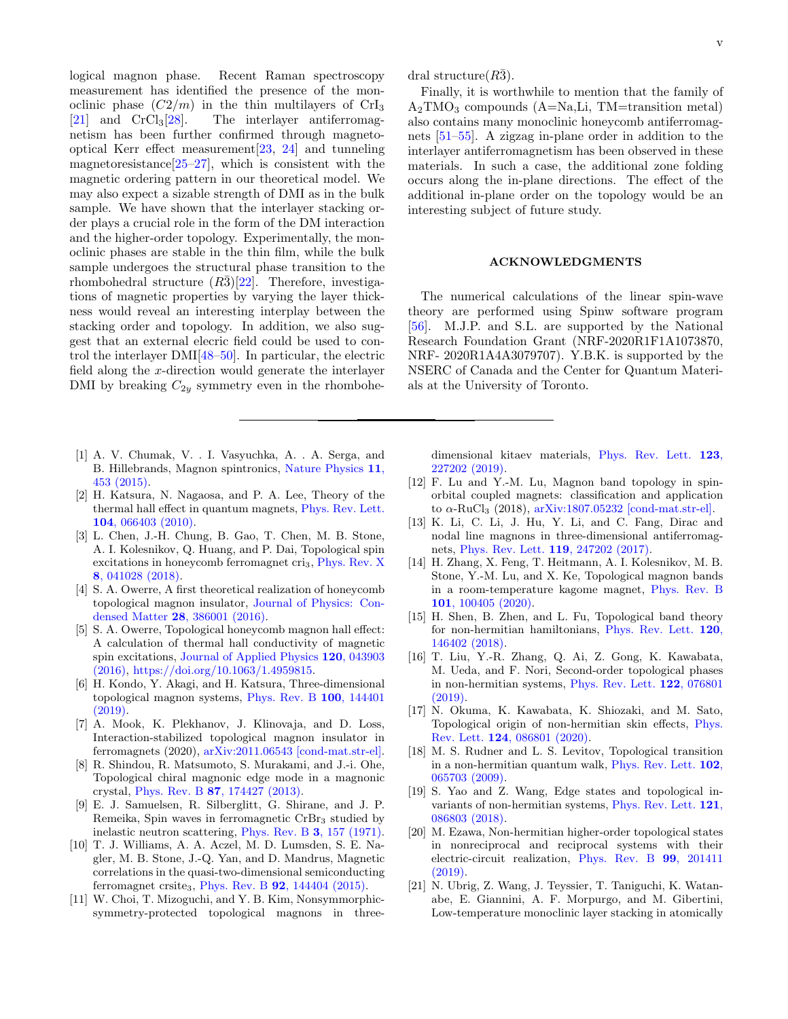logical magnon phase. Recent Raman spectroscopy measurement has identified the presence of the monoclinic phase  $(C2/m)$  in the thin multilayers of CrI<sub>3</sub> [21] and CrCl<sub>3</sub>[28]. The interlayer antiferromag-The interlayer antiferromagnetism has been further confirmed through magnetooptical Kerr effect measurement[\[23,](#page-5-21) [24\]](#page-5-22) and tunneling magnetoresistance $[25-27]$  $[25-27]$ , which is consistent with the magnetic ordering pattern in our theoretical model. We may also expect a sizable strength of DMI as in the bulk sample. We have shown that the interlayer stacking order plays a crucial role in the form of the DM interaction and the higher-order topology. Experimentally, the monoclinic phases are stable in the thin film, while the bulk sample undergoes the structural phase transition to the rhombohedral structure  $(R\bar{3})[22]$  $(R\bar{3})[22]$ . Therefore, investigations of magnetic properties by varying the layer thickness would reveal an interesting interplay between the stacking order and topology. In addition, we also suggest that an external elecric field could be used to control the interlayer DMI[\[48–](#page-5-25)[50\]](#page-5-26). In particular, the electric field along the x-direction would generate the interlayer DMI by breaking  $C_{2y}$  symmetry even in the rhombohe-

- <span id="page-4-0"></span>[1] A. V. Chumak, V. . I. Vasyuchka, A. . A. Serga, and B. Hillebrands, Magnon spintronics, [Nature Physics](https://doi.org/10.1038/nphys3347) 11, [453 \(2015\).](https://doi.org/10.1038/nphys3347)
- <span id="page-4-1"></span>[2] H. Katsura, N. Nagaosa, and P. A. Lee, Theory of the thermal hall effect in quantum magnets, [Phys. Rev. Lett.](https://doi.org/10.1103/PhysRevLett.104.066403) 104[, 066403 \(2010\).](https://doi.org/10.1103/PhysRevLett.104.066403)
- <span id="page-4-3"></span>[3] L. Chen, J.-H. Chung, B. Gao, T. Chen, M. B. Stone, A. I. Kolesnikov, Q. Huang, and P. Dai, Topological spin excitations in honeycomb ferromagnet cri<sub>3</sub>, [Phys. Rev. X](https://doi.org/10.1103/PhysRevX.8.041028) 8[, 041028 \(2018\).](https://doi.org/10.1103/PhysRevX.8.041028)
- <span id="page-4-13"></span>[4] S. A. Owerre, A first theoretical realization of honeycomb topological magnon insulator, [Journal of Physics: Con](https://doi.org/10.1088/0953-8984/28/38/386001)densed Matter 28[, 386001 \(2016\).](https://doi.org/10.1088/0953-8984/28/38/386001)
- <span id="page-4-14"></span>[5] S. A. Owerre, Topological honeycomb magnon hall effect: A calculation of thermal hall conductivity of magnetic spin excitations, [Journal of Applied Physics](https://doi.org/10.1063/1.4959815) 120, 043903 [\(2016\),](https://doi.org/10.1063/1.4959815) [https://doi.org/10.1063/1.4959815.](https://arxiv.org/abs/https://doi.org/10.1063/1.4959815)
- [6] H. Kondo, Y. Akagi, and H. Katsura, Three-dimensional topological magnon systems, [Phys. Rev. B](https://doi.org/10.1103/PhysRevB.100.144401) 100, 144401 [\(2019\).](https://doi.org/10.1103/PhysRevB.100.144401)
- [7] A. Mook, K. Plekhanov, J. Klinovaja, and D. Loss, Interaction-stabilized topological magnon insulator in ferromagnets (2020), [arXiv:2011.06543 \[cond-mat.str-el\].](https://arxiv.org/abs/2011.06543)
- <span id="page-4-2"></span>[8] R. Shindou, R. Matsumoto, S. Murakami, and J.-i. Ohe, Topological chiral magnonic edge mode in a magnonic crystal, Phys. Rev. B 87[, 174427 \(2013\).](https://doi.org/10.1103/PhysRevB.87.174427)
- <span id="page-4-4"></span>[9] E. J. Samuelsen, R. Silberglitt, G. Shirane, and J. P. Remeika, Spin waves in ferromagnetic  $CrBr<sub>3</sub>$  studied by inelastic neutron scattering, [Phys. Rev. B](https://doi.org/10.1103/PhysRevB.3.157) 3, 157 (1971).
- <span id="page-4-6"></span>[10] T. J. Williams, A. A. Aczel, M. D. Lumsden, S. E. Nagler, M. B. Stone, J.-Q. Yan, and D. Mandrus, Magnetic correlations in the quasi-two-dimensional semiconducting ferromagnet crsite<sub>3</sub>, Phys. Rev. B  $92$ [, 144404 \(2015\).](https://doi.org/10.1103/PhysRevB.92.144404)
- <span id="page-4-7"></span>[11] W. Choi, T. Mizoguchi, and Y. B. Kim, Nonsymmorphicsymmetry-protected topological magnons in three-

dral structure $(R\bar{3})$ .

Finally, it is worthwhile to mention that the family of  $A_2TMO_3$  compounds  $(A=Na,Li, TM=transition metal)$ also contains many monoclinic honeycomb antiferromagnets [\[51](#page-5-27)[–55\]](#page-6-0). A zigzag in-plane order in addition to the interlayer antiferromagnetism has been observed in these materials. In such a case, the additional zone folding occurs along the in-plane directions. The effect of the additional in-plane order on the topology would be an interesting subject of future study.

# ACKNOWLEDGMENTS

The numerical calculations of the linear spin-wave theory are performed using Spinw software program [\[56\]](#page-6-1). M.J.P. and S.L. are supported by the National Research Foundation Grant (NRF-2020R1F1A1073870, NRF- 2020R1A4A3079707). Y.B.K. is supported by the NSERC of Canada and the Center for Quantum Materials at the University of Toronto.

dimensional kitaev materials, [Phys. Rev. Lett.](https://doi.org/10.1103/PhysRevLett.123.227202) 123, [227202 \(2019\).](https://doi.org/10.1103/PhysRevLett.123.227202)

- <span id="page-4-8"></span>[12] F. Lu and Y.-M. Lu, Magnon band topology in spinorbital coupled magnets: classification and application to  $\alpha$ -RuCl<sub>3</sub> (2018),  $arXiv:1807.05232$  [cond-mat.str-el].
- <span id="page-4-9"></span>[13] K. Li, C. Li, J. Hu, Y. Li, and C. Fang, Dirac and nodal line magnons in three-dimensional antiferromagnets, [Phys. Rev. Lett.](https://doi.org/10.1103/PhysRevLett.119.247202) 119, 247202 (2017).
- <span id="page-4-5"></span>[14] H. Zhang, X. Feng, T. Heitmann, A. I. Kolesnikov, M. B. Stone, Y.-M. Lu, and X. Ke, Topological magnon bands in a room-temperature kagome magnet, [Phys. Rev. B](https://doi.org/10.1103/PhysRevB.101.100405) 101[, 100405 \(2020\).](https://doi.org/10.1103/PhysRevB.101.100405)
- <span id="page-4-10"></span>[15] H. Shen, B. Zhen, and L. Fu, Topological band theory for non-hermitian hamiltonians, [Phys. Rev. Lett.](https://doi.org/10.1103/PhysRevLett.120.146402) 120, [146402 \(2018\).](https://doi.org/10.1103/PhysRevLett.120.146402)
- [16] T. Liu, Y.-R. Zhang, Q. Ai, Z. Gong, K. Kawabata, M. Ueda, and F. Nori, Second-order topological phases in non-hermitian systems, [Phys. Rev. Lett.](https://doi.org/10.1103/PhysRevLett.122.076801) 122, 076801 [\(2019\).](https://doi.org/10.1103/PhysRevLett.122.076801)
- [17] N. Okuma, K. Kawabata, K. Shiozaki, and M. Sato, Topological origin of non-hermitian skin effects, [Phys.](https://doi.org/10.1103/PhysRevLett.124.086801) Rev. Lett. 124[, 086801 \(2020\).](https://doi.org/10.1103/PhysRevLett.124.086801)
- [18] M. S. Rudner and L. S. Levitov, Topological transition in a non-hermitian quantum walk, [Phys. Rev. Lett.](https://doi.org/10.1103/PhysRevLett.102.065703) 102, [065703 \(2009\).](https://doi.org/10.1103/PhysRevLett.102.065703)
- [19] S. Yao and Z. Wang, Edge states and topological invariants of non-hermitian systems, [Phys. Rev. Lett.](https://doi.org/10.1103/PhysRevLett.121.086803) 121, [086803 \(2018\).](https://doi.org/10.1103/PhysRevLett.121.086803)
- <span id="page-4-11"></span>[20] M. Ezawa, Non-hermitian higher-order topological states in nonreciprocal and reciprocal systems with their electric-circuit realization, [Phys. Rev. B](https://doi.org/10.1103/PhysRevB.99.201411) 99, 201411 [\(2019\).](https://doi.org/10.1103/PhysRevB.99.201411)
- <span id="page-4-12"></span>[21] N. Ubrig, Z. Wang, J. Teyssier, T. Taniguchi, K. Watanabe, E. Giannini, A. F. Morpurgo, and M. Gibertini, Low-temperature monoclinic layer stacking in atomically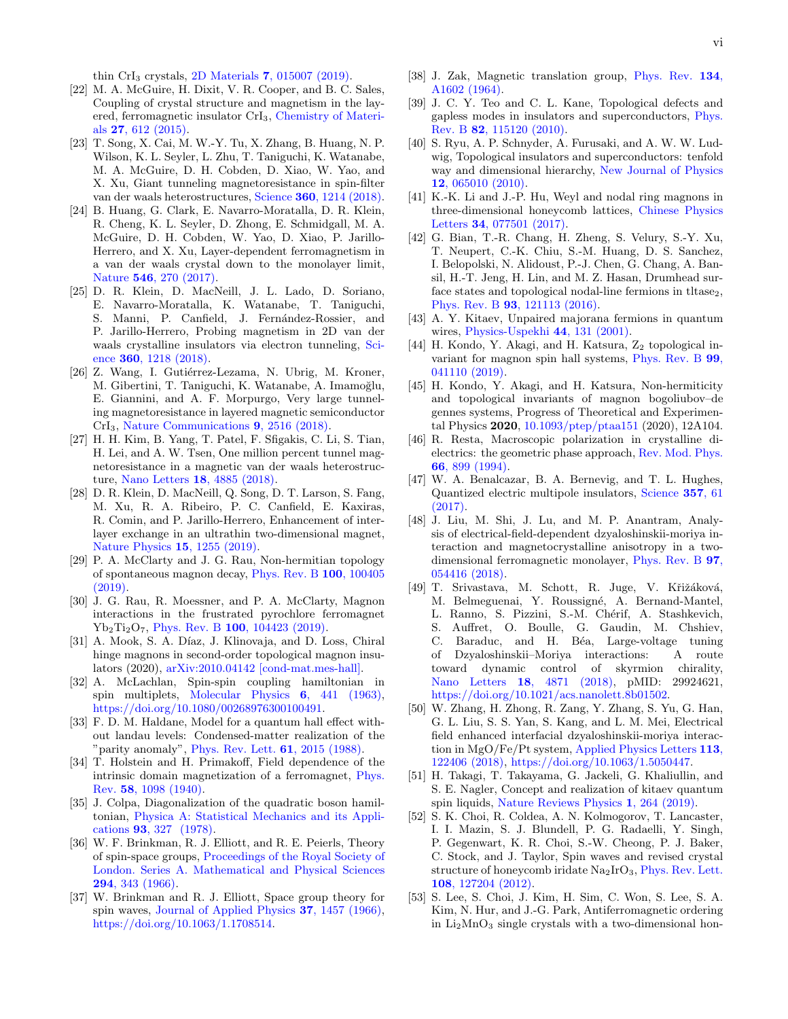thin CrI<sub>3</sub> crystals, 2D Materials  $7,015007$  (2019).

- <span id="page-5-24"></span>[22] M. A. McGuire, H. Dixit, V. R. Cooper, and B. C. Sales, Coupling of crystal structure and magnetism in the layered, ferromagnetic insulator CrI3, [Chemistry of Materi](https://doi.org/10.1021/cm504242t)als 27[, 612 \(2015\).](https://doi.org/10.1021/cm504242t)
- <span id="page-5-21"></span>[23] T. Song, X. Cai, M. W.-Y. Tu, X. Zhang, B. Huang, N. P. Wilson, K. L. Seyler, L. Zhu, T. Taniguchi, K. Watanabe, M. A. McGuire, D. H. Cobden, D. Xiao, W. Yao, and X. Xu, Giant tunneling magnetoresistance in spin-filter van der waals heterostructures, Science 360[, 1214 \(2018\).](https://doi.org/10.1126/science.aar4851)
- <span id="page-5-22"></span>[24] B. Huang, G. Clark, E. Navarro-Moratalla, D. R. Klein, R. Cheng, K. L. Seyler, D. Zhong, E. Schmidgall, M. A. McGuire, D. H. Cobden, W. Yao, D. Xiao, P. Jarillo-Herrero, and X. Xu, Layer-dependent ferromagnetism in a van der waals crystal down to the monolayer limit, Nature 546[, 270 \(2017\).](https://doi.org/10.1038/nature22391)
- <span id="page-5-23"></span>[25] D. R. Klein, D. MacNeill, J. L. Lado, D. Soriano, E. Navarro-Moratalla, K. Watanabe, T. Taniguchi, S. Manni, P. Canfield, J. Fernández-Rossier, and P. Jarillo-Herrero, Probing magnetism in 2D van der waals crystalline insulators via electron tunneling, [Sci](https://doi.org/10.1126/science.aar3617)ence 360[, 1218 \(2018\).](https://doi.org/10.1126/science.aar3617)
- [26] Z. Wang, I. Gutiérrez-Lezama, N. Ubrig, M. Kroner, M. Gibertini, T. Taniguchi, K. Watanabe, A. Imamoğlu, E. Giannini, and A. F. Morpurgo, Very large tunneling magnetoresistance in layered magnetic semiconductor CrI3, [Nature Communications](https://doi.org/10.1038/s41467-018-04953-8) 9, 2516 (2018).
- <span id="page-5-0"></span>[27] H. H. Kim, B. Yang, T. Patel, F. Sfigakis, C. Li, S. Tian, H. Lei, and A. W. Tsen, One million percent tunnel magnetoresistance in a magnetic van der waals heterostructure, Nano Letters 18[, 4885 \(2018\).](https://doi.org/10.1021/acs.nanolett.8b01552)
- <span id="page-5-1"></span>[28] D. R. Klein, D. MacNeill, Q. Song, D. T. Larson, S. Fang, M. Xu, R. A. Ribeiro, P. C. Canfield, E. Kaxiras, R. Comin, and P. Jarillo-Herrero, Enhancement of interlayer exchange in an ultrathin two-dimensional magnet, [Nature Physics](https://doi.org/10.1038/s41567-019-0651-0) 15, 1255 (2019).
- <span id="page-5-2"></span>[29] P. A. McClarty and J. G. Rau, Non-hermitian topology of spontaneous magnon decay, [Phys. Rev. B](https://doi.org/10.1103/PhysRevB.100.100405) 100, 100405 [\(2019\).](https://doi.org/10.1103/PhysRevB.100.100405)
- <span id="page-5-3"></span>[30] J. G. Rau, R. Moessner, and P. A. McClarty, Magnon interactions in the frustrated pyrochlore ferromagnet Yb<sub>2</sub>Ti<sub>2</sub>O<sub>7</sub>, Phys. Rev. B 100[, 104423 \(2019\).](https://doi.org/10.1103/PhysRevB.100.104423)
- <span id="page-5-4"></span>[31] A. Mook, S. A. Díaz, J. Klinovaja, and D. Loss, Chiral hinge magnons in second-order topological magnon insulators (2020), [arXiv:2010.04142 \[cond-mat.mes-hall\].](https://arxiv.org/abs/2010.04142)
- <span id="page-5-5"></span>[32] A. McLachlan, Spin-spin coupling hamiltonian in spin multiplets, [Molecular Physics](https://doi.org/10.1080/00268976300100491) 6, 441 (1963), [https://doi.org/10.1080/00268976300100491.](https://arxiv.org/abs/https://doi.org/10.1080/00268976300100491)
- <span id="page-5-6"></span>[33] F. D. M. Haldane, Model for a quantum hall effect without landau levels: Condensed-matter realization of the "parity anomaly", [Phys. Rev. Lett.](https://doi.org/10.1103/PhysRevLett.61.2015)  $61$ ,  $2015$  (1988).
- <span id="page-5-7"></span>[34] T. Holstein and H. Primakoff, Field dependence of the intrinsic domain magnetization of a ferromagnet, [Phys.](https://doi.org/10.1103/PhysRev.58.1098) Rev. 58[, 1098 \(1940\).](https://doi.org/10.1103/PhysRev.58.1098)
- <span id="page-5-8"></span>[35] J. Colpa, Diagonalization of the quadratic boson hamiltonian, [Physica A: Statistical Mechanics and its Appli](https://doi.org/https://doi.org/10.1016/0378-4371(78)90160-7)cations 93[, 327 \(1978\).](https://doi.org/https://doi.org/10.1016/0378-4371(78)90160-7)
- <span id="page-5-9"></span>[36] W. F. Brinkman, R. J. Elliott, and R. E. Peierls, Theory of spin-space groups, [Proceedings of the Royal Society of](https://doi.org/10.1098/rspa.1966.0211) [London. Series A. Mathematical and Physical Sciences](https://doi.org/10.1098/rspa.1966.0211) 294[, 343 \(1966\).](https://doi.org/10.1098/rspa.1966.0211)
- <span id="page-5-10"></span>[37] W. Brinkman and R. J. Elliott, Space group theory for spin waves, [Journal of Applied Physics](https://doi.org/10.1063/1.1708514) 37, 1457 (1966), [https://doi.org/10.1063/1.1708514.](https://arxiv.org/abs/https://doi.org/10.1063/1.1708514)
- <span id="page-5-11"></span>[38] J. Zak, Magnetic translation group, [Phys. Rev.](https://doi.org/10.1103/PhysRev.134.A1602) 134, [A1602 \(1964\).](https://doi.org/10.1103/PhysRev.134.A1602)
- <span id="page-5-12"></span>[39] J. C. Y. Teo and C. L. Kane, Topological defects and gapless modes in insulators and superconductors, [Phys.](https://doi.org/10.1103/PhysRevB.82.115120) Rev. B 82[, 115120 \(2010\).](https://doi.org/10.1103/PhysRevB.82.115120)
- <span id="page-5-13"></span>[40] S. Ryu, A. P. Schnyder, A. Furusaki, and A. W. W. Ludwig, Topological insulators and superconductors: tenfold way and dimensional hierarchy, [New Journal of Physics](https://doi.org/10.1088/1367-2630/12/6/065010) 12[, 065010 \(2010\).](https://doi.org/10.1088/1367-2630/12/6/065010)
- <span id="page-5-14"></span>[41] K.-K. Li and J.-P. Hu, Weyl and nodal ring magnons in three-dimensional honeycomb lattices, [Chinese Physics](https://doi.org/10.1088/0256-307x/34/7/077501) Letters 34[, 077501 \(2017\).](https://doi.org/10.1088/0256-307x/34/7/077501)
- <span id="page-5-15"></span>[42] G. Bian, T.-R. Chang, H. Zheng, S. Velury, S.-Y. Xu, T. Neupert, C.-K. Chiu, S.-M. Huang, D. S. Sanchez, I. Belopolski, N. Alidoust, P.-J. Chen, G. Chang, A. Bansil, H.-T. Jeng, H. Lin, and M. Z. Hasan, Drumhead surface states and topological nodal-line fermions in tltase<sub>2</sub>, Phys. Rev. B 93[, 121113 \(2016\).](https://doi.org/10.1103/PhysRevB.93.121113)
- <span id="page-5-16"></span>[43] A. Y. Kitaev, Unpaired majorana fermions in quantum wires, [Physics-Uspekhi](https://doi.org/10.1070/1063-7869/44/10s/s29) 44, 131 (2001).
- <span id="page-5-17"></span>[44] H. Kondo, Y. Akagi, and H. Katsura,  $Z_2$  topological invariant for magnon spin hall systems, [Phys. Rev. B](https://doi.org/10.1103/PhysRevB.99.041110) 99, [041110 \(2019\).](https://doi.org/10.1103/PhysRevB.99.041110)
- <span id="page-5-18"></span>[45] H. Kondo, Y. Akagi, and H. Katsura, Non-hermiticity and topological invariants of magnon bogoliubov–de gennes systems, Progress of Theoretical and Experimental Physics 2020, [10.1093/ptep/ptaa151](https://doi.org/10.1093/ptep/ptaa151) (2020), 12A104.
- <span id="page-5-19"></span>[46] R. Resta, Macroscopic polarization in crystalline dielectrics: the geometric phase approach, [Rev. Mod. Phys.](https://doi.org/10.1103/RevModPhys.66.899) 66[, 899 \(1994\).](https://doi.org/10.1103/RevModPhys.66.899)
- <span id="page-5-20"></span>[47] W. A. Benalcazar, B. A. Bernevig, and T. L. Hughes, Quantized electric multipole insulators, [Science](https://doi.org/10.1126/science.aah6442) 357, 61  $(2017)$ .
- <span id="page-5-25"></span>[48] J. Liu, M. Shi, J. Lu, and M. P. Anantram, Analysis of electrical-field-dependent dzyaloshinskii-moriya interaction and magnetocrystalline anisotropy in a twodimensional ferromagnetic monolayer, [Phys. Rev. B](https://doi.org/10.1103/PhysRevB.97.054416) 97, [054416 \(2018\).](https://doi.org/10.1103/PhysRevB.97.054416)
- [49] T. Srivastava, M. Schott, R. Juge, V. Křižáková, M. Belmeguenai, Y. Roussigné, A. Bernand-Mantel, L. Ranno, S. Pizzini, S.-M. Chérif, A. Stashkevich, S. Auffret, O. Boulle, G. Gaudin, M. Chshiev, C. Baraduc, and H. Béa, Large-voltage tuning of Dzyaloshinskii–Moriya interactions: A route toward dynamic control of skyrmion chirality, Nano Letters 18[, 4871 \(2018\),](https://doi.org/10.1021/acs.nanolett.8b01502) pMID: 29924621, [https://doi.org/10.1021/acs.nanolett.8b01502.](https://arxiv.org/abs/https://doi.org/10.1021/acs.nanolett.8b01502)
- <span id="page-5-26"></span>[50] W. Zhang, H. Zhong, R. Zang, Y. Zhang, S. Yu, G. Han, G. L. Liu, S. S. Yan, S. Kang, and L. M. Mei, Electrical field enhanced interfacial dzyaloshinskii-moriya interaction in MgO/Fe/Pt system, [Applied Physics Letters](https://doi.org/10.1063/1.5050447) 113, [122406 \(2018\),](https://doi.org/10.1063/1.5050447) [https://doi.org/10.1063/1.5050447.](https://arxiv.org/abs/https://doi.org/10.1063/1.5050447)
- <span id="page-5-27"></span>[51] H. Takagi, T. Takayama, G. Jackeli, G. Khaliullin, and S. E. Nagler, Concept and realization of kitaev quantum spin liquids, [Nature Reviews Physics](https://doi.org/10.1038/s42254-019-0038-2) 1, 264 (2019).
- [52] S. K. Choi, R. Coldea, A. N. Kolmogorov, T. Lancaster, I. I. Mazin, S. J. Blundell, P. G. Radaelli, Y. Singh, P. Gegenwart, K. R. Choi, S.-W. Cheong, P. J. Baker, C. Stock, and J. Taylor, Spin waves and revised crystal structure of honeycomb iridate  $Na<sub>2</sub>IrO<sub>3</sub>$ , [Phys. Rev. Lett.](https://doi.org/10.1103/PhysRevLett.108.127204) 108[, 127204 \(2012\).](https://doi.org/10.1103/PhysRevLett.108.127204)
- [53] S. Lee, S. Choi, J. Kim, H. Sim, C. Won, S. Lee, S. A. Kim, N. Hur, and J.-G. Park, Antiferromagnetic ordering in  $Li<sub>2</sub>MnO<sub>3</sub>$  single crystals with a two-dimensional hon-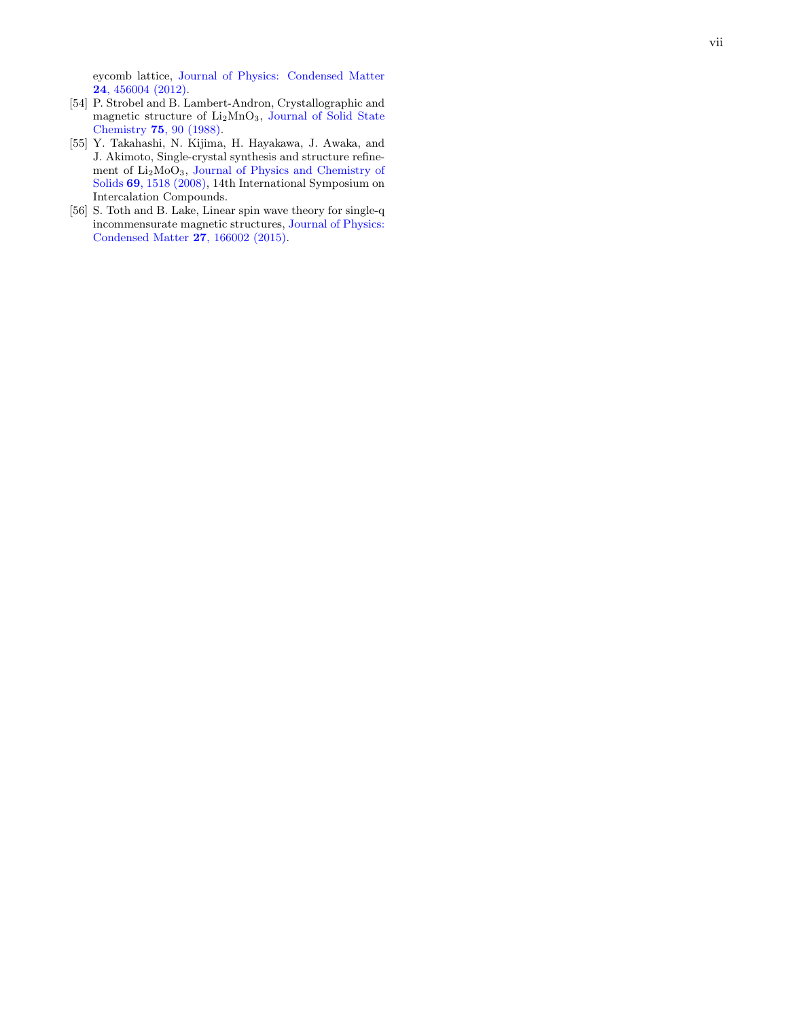eycomb lattice, [Journal of Physics: Condensed Matter](https://doi.org/10.1088/0953-8984/24/45/456004) 24[, 456004 \(2012\)](https://doi.org/10.1088/0953-8984/24/45/456004) .

- [54] P. Strobel and B. Lambert-Andron, Crystallographic and magnetic structure of Li <sup>2</sup>MnO 3 , [Journal of Solid State](https://doi.org/https://doi.org/10.1016/0022-4596(88)90305-2) Chemistry 75[, 90 \(1988\)](https://doi.org/https://doi.org/10.1016/0022-4596(88)90305-2) .
- <span id="page-6-0"></span>[55] Y. Takahashi, N. Kijima, H. Hayakawa, J. Awaka, and J. Akimoto, Single-crystal synthesis and structure refinement of Li2MoO3, [Journal of Physics and Chemistry of](https://doi.org/https://doi.org/10.1016/j.jpcs.2007.10.081) Solids 69[, 1518 \(2008\),](https://doi.org/https://doi.org/10.1016/j.jpcs.2007.10.081) 14th International Symposium on Intercalation Compounds.
- <span id="page-6-1"></span>[56] S. Toth and B. Lake, Linear spin wave theory for single-q incommensurate magnetic structures, [Journal of Physics:](https://doi.org/10.1088/0953-8984/27/16/166002) [Condensed Matter](https://doi.org/10.1088/0953-8984/27/16/166002) 27, 166002 (2015) .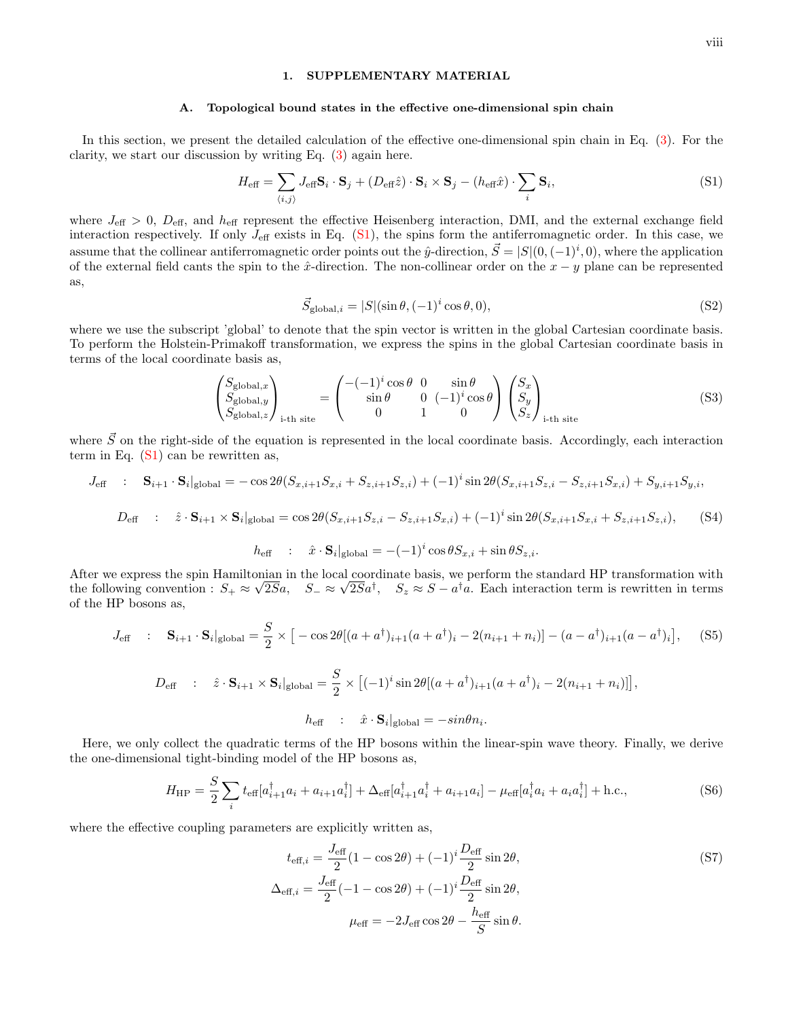## 1. SUPPLEMENTARY MATERIAL

#### A. Topological bound states in the effective one-dimensional spin chain

In this section, we present the detailed calculation of the effective one-dimensional spin chain in Eq. [\(3\)](#page-2-2). For the clarity, we start our discussion by writing Eq. [\(3\)](#page-2-2) again here.

<span id="page-7-0"></span>
$$
H_{\text{eff}} = \sum_{\langle i,j \rangle} J_{\text{eff}} \mathbf{S}_i \cdot \mathbf{S}_j + (D_{\text{eff}} \hat{z}) \cdot \mathbf{S}_i \times \mathbf{S}_j - (h_{\text{eff}} \hat{x}) \cdot \sum_i \mathbf{S}_i,\tag{S1}
$$

where  $J_{\text{eff}} > 0$ ,  $D_{\text{eff}}$ , and  $h_{\text{eff}}$  represent the effective Heisenberg interaction, DMI, and the external exchange field interaction respectively. If only  $J_{\text{eff}}$  exists in Eq. [\(S1\)](#page-7-0), the spins form the antiferromagnetic order. In this case, we assume that the collinear antiferromagnetic order points out the  $\hat{y}$ -direction,  $\vec{S} = |S|(0,(-1)^i,0)$ , where the application of the external field cants the spin to the  $\hat{x}$ -direction. The non-collinear order on the  $x - y$  plane can be represented as,

<span id="page-7-2"></span>
$$
\vec{S}_{\text{global},i} = |S|(\sin \theta, (-1)^i \cos \theta, 0),\tag{S2}
$$

where we use the subscript 'global' to denote that the spin vector is written in the global Cartesian coordinate basis. To perform the Holstein-Primakoff transformation, we express the spins in the global Cartesian coordinate basis in terms of the local coordinate basis as,

$$
\begin{pmatrix} S_{\text{global},x} \\ S_{\text{global},y} \\ S_{\text{global},z} \end{pmatrix}_{i\text{-th site}} = \begin{pmatrix} -(-1)^i \cos \theta & 0 & \sin \theta \\ \sin \theta & 0 & (-1)^i \cos \theta \\ 0 & 1 & 0 \end{pmatrix} \begin{pmatrix} S_x \\ S_y \\ S_z \end{pmatrix}_{i\text{-th site}}
$$
(S3)

where  $\vec{S}$  on the right-side of the equation is represented in the local coordinate basis. Accordingly, each interaction term in Eq.  $(S1)$  can be rewritten as,

$$
J_{\text{eff}} : \mathbf{S}_{i+1} \cdot \mathbf{S}_{i} |_{\text{global}} = -\cos 2\theta (S_{x,i+1} S_{x,i} + S_{z,i+1} S_{z,i}) + (-1)^{i} \sin 2\theta (S_{x,i+1} S_{z,i} - S_{z,i+1} S_{x,i}) + S_{y,i+1} S_{y,i},
$$
  

$$
D_{\text{eff}} : \hat{z} \cdot \mathbf{S}_{i+1} \times \mathbf{S}_{i} |_{\text{global}} = \cos 2\theta (S_{x,i+1} S_{z,i} - S_{z,i+1} S_{x,i}) + (-1)^{i} \sin 2\theta (S_{x,i+1} S_{x,i} + S_{z,i+1} S_{z,i}),
$$
 (S4)

$$
h_{\text{eff}} \quad : \quad \hat{x} \cdot \mathbf{S}_i|_{\text{global}} = -(-1)^i \cos \theta S_{x,i} + \sin \theta S_{z,i}.
$$

After we express the spin Hamiltonian in the local coordinate basis, we perform the standard HP transformation with the following convention :  $S_+ \approx \sqrt{2S}a$ ,  $S_- \approx \sqrt{2S}a^{\dagger}$ ,  $S_z \approx S - a^{\dagger}a$ . Each interaction term is rewritten in terms of the HP bosons as,

$$
J_{\text{eff}} : \mathbf{S}_{i+1} \cdot \mathbf{S}_i |_{\text{global}} = \frac{S}{2} \times \left[ -\cos 2\theta [(a+a^{\dagger})_{i+1}(a+a^{\dagger})_i - 2(n_{i+1}+n_i)] - (a-a^{\dagger})_{i+1}(a-a^{\dagger})_i \right], \quad (S5)
$$

<span id="page-7-1"></span>
$$
D_{\text{eff}} \quad : \quad \hat{z} \cdot \mathbf{S}_{i+1} \times \mathbf{S}_{i} |_{\text{global}} = \frac{S}{2} \times \left[ (-1)^{i} \sin 2\theta \left[ (a + a^{\dagger})_{i+1} (a + a^{\dagger})_{i} - 2(n_{i+1} + n_{i}) \right] \right],
$$
\n
$$
h_{\text{eff}} \quad : \quad \hat{x} \cdot \mathbf{S}_{i} |_{\text{global}} = -\sin \theta n_{i}.
$$

Here, we only collect the quadratic terms of the HP bosons within the linear-spin wave theory. Finally, we derive the one-dimensional tight-binding model of the HP bosons as,

$$
H_{\rm HP} = \frac{S}{2} \sum_{i} t_{\text{eff}} [a_{i+1}^{\dagger} a_i + a_{i+1} a_i^{\dagger}] + \Delta_{\text{eff}} [a_{i+1}^{\dagger} a_i^{\dagger} + a_{i+1} a_i] - \mu_{\text{eff}} [a_i^{\dagger} a_i + a_i a_i^{\dagger}] + \text{h.c.},\tag{S6}
$$

where the effective coupling parameters are explicitly written as,

$$
t_{\text{eff},i} = \frac{J_{\text{eff}}}{2}(1 - \cos 2\theta) + (-1)^i \frac{D_{\text{eff}}}{2} \sin 2\theta,
$$
  
\n
$$
\Delta_{\text{eff},i} = \frac{J_{\text{eff}}}{2}(-1 - \cos 2\theta) + (-1)^i \frac{D_{\text{eff}}}{2} \sin 2\theta,
$$
  
\n
$$
\mu_{\text{eff}} = -2J_{\text{eff}} \cos 2\theta - \frac{h_{\text{eff}}}{S} \sin \theta.
$$
\n(S7)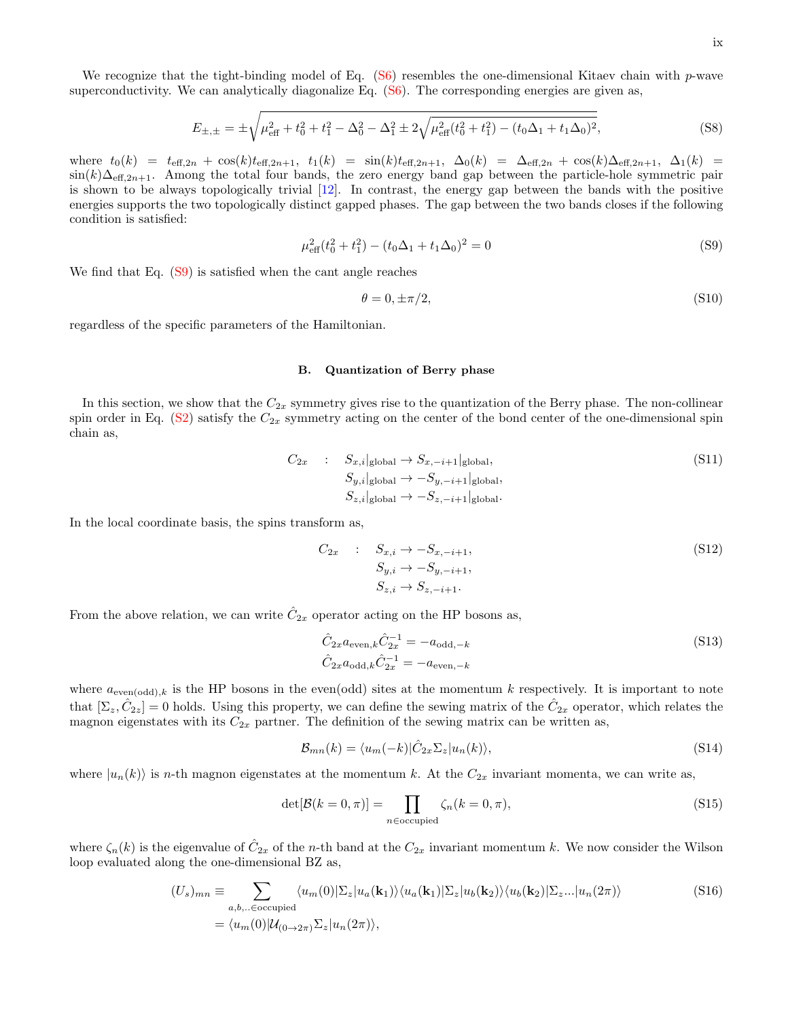We recognize that the tight-binding model of Eq.  $(S6)$  resembles the one-dimensional Kitaev chain with p-wave superconductivity. We can analytically diagonalize Eq.  $(S6)$ . The corresponding energies are given as,

$$
E_{\pm,\pm} = \pm \sqrt{\mu_{\text{eff}}^2 + t_0^2 + t_1^2 - \Delta_0^2 - \Delta_1^2 \pm 2\sqrt{\mu_{\text{eff}}^2(t_0^2 + t_1^2) - (t_0\Delta_1 + t_1\Delta_0)^2}},
$$
(S8)

where  $t_0(k) = t_{\text{eff},2n} + \cos(k)t_{\text{eff},2n+1}$ ,  $t_1(k) = \sin(k)t_{\text{eff},2n+1}$ ,  $\Delta_0(k) = \Delta_{\text{eff},2n} + \cos(k)\Delta_{\text{eff},2n+1}$ ,  $\Delta_1(k) =$  $\sin(k)\Delta_{\text{eff},2n+1}$ . Among the total four bands, the zero energy band gap between the particle-hole symmetric pair is shown to be always topologically trivial [\[12\]](#page-4-8). In contrast, the energy gap between the bands with the positive energies supports the two topologically distinct gapped phases. The gap between the two bands closes if the following condition is satisfied:

<span id="page-8-0"></span>
$$
\mu_{\text{eff}}^2(t_0^2 + t_1^2) - (t_0 \Delta_1 + t_1 \Delta_0)^2 = 0
$$
\n(S9)

We find that Eq.  $(S9)$  is satisfied when the cant angle reaches

$$
\theta = 0, \pm \pi/2,\tag{S10}
$$

regardless of the specific parameters of the Hamiltonian.

### B. Quantization of Berry phase

In this section, we show that the  $C_{2x}$  symmetry gives rise to the quantization of the Berry phase. The non-collinear spin order in Eq.  $(S2)$  satisfy the  $C_{2x}$  symmetry acting on the center of the bond center of the one-dimensional spin chain as,

$$
C_{2x} : S_{x,i}|_{\text{global}} \to S_{x,-i+1}|_{\text{global}},
$$
  
\n
$$
S_{y,i}|_{\text{global}} \to -S_{y,-i+1}|_{\text{global}},
$$
  
\n
$$
S_{z,i}|_{\text{global}} \to -S_{z,-i+1}|_{\text{global}}.
$$
  
\n(S11)

In the local coordinate basis, the spins transform as,

$$
C_{2x} : S_{x,i} \to -S_{x,-i+1},
$$
  
\n
$$
S_{y,i} \to -S_{y,-i+1},
$$
  
\n
$$
S_{z,i} \to S_{z,-i+1}.
$$
  
\n(S12)

From the above relation, we can write  $\hat{C}_{2x}$  operator acting on the HP bosons as,

$$
\hat{C}_{2x} a_{\text{even},k} \hat{C}_{2x}^{-1} = -a_{\text{odd},-k} \n\hat{C}_{2x} a_{\text{odd},k} \hat{C}_{2x}^{-1} = -a_{\text{even},-k}
$$
\n(S13)

where  $a_{even(odd),k}$  is the HP bosons in the even(odd) sites at the momentum k respectively. It is important to note that  $[\Sigma_z, \hat{C}_{2z}] = 0$  holds. Using this property, we can define the sewing matrix of the  $\hat{C}_{2x}$  operator, which relates the magnon eigenstates with its  $C_{2x}$  partner. The definition of the sewing matrix can be written as,

$$
\mathcal{B}_{mn}(k) = \langle u_m(-k)|\hat{C}_{2x}\Sigma_z|u_n(k)\rangle,\tag{S14}
$$

where  $|u_n(k)\rangle$  is n-th magnon eigenstates at the momentum k. At the  $C_{2x}$  invariant momenta, we can write as,

$$
\det[\mathcal{B}(k=0,\pi)] = \prod_{n \in \text{occupied}} \zeta_n(k=0,\pi),\tag{S15}
$$

where  $\zeta_n(k)$  is the eigenvalue of  $\hat{C}_{2x}$  of the *n*-th band at the  $C_{2x}$  invariant momentum k. We now consider the Wilson loop evaluated along the one-dimensional BZ as,

$$
(U_s)_{mn} \equiv \sum_{a,b,.. \in \text{occupied}} \langle u_m(0) | \Sigma_z | u_a(\mathbf{k}_1) \rangle \langle u_a(\mathbf{k}_1) | \Sigma_z | u_b(\mathbf{k}_2) \rangle \langle u_b(\mathbf{k}_2) | \Sigma_z ... | u_n(2\pi) \rangle
$$
(S16)  
=  $\langle u_m(0) | \mathcal{U}_{(0 \to 2\pi)} \Sigma_z | u_n(2\pi) \rangle$ ,